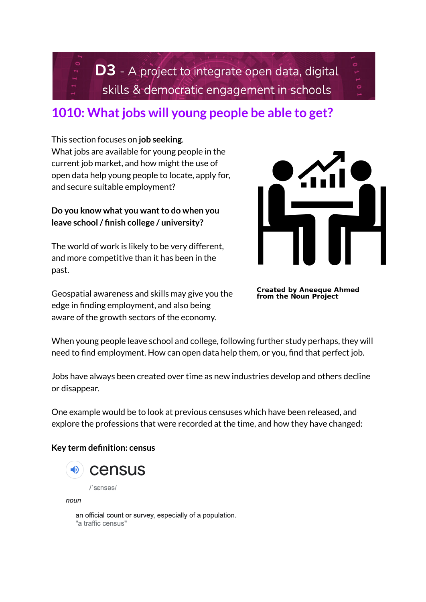**D3** - A project to integrate open data, digital skills & democratic engagement in schools

# **1010: Whatjobs will young people be able to get?**

This section focuses on **job seeking**. What jobs are available for young people in the current job market, and how might the use of open data help young people to locate, apply for, and secure suitable employment?

# **Do you** know what you want to do when you **leave school/ finish college / university?**

The world of work is likely to be very different, and more competitive than it has been in the past.

Geospatial awareness and skills may give you the edge in finding employment, and also being aware of the growth sectors of the economy.



**Created by Aneeque Ahmed<br>from the Noun Project** 

When young people leave school and college, following further study perhaps, they will need to find employment. How can open data help them, or you, find that perfect job.

Jobs have always been created over time as new industries develop and others decline or disappear.

One example would be to look at previous censuses which have been released, and explore the professions that were recorded at the time, and how they have changed:

### **Key term definition: census**



noun

an official count or survey, especially of a population. "a traffic census"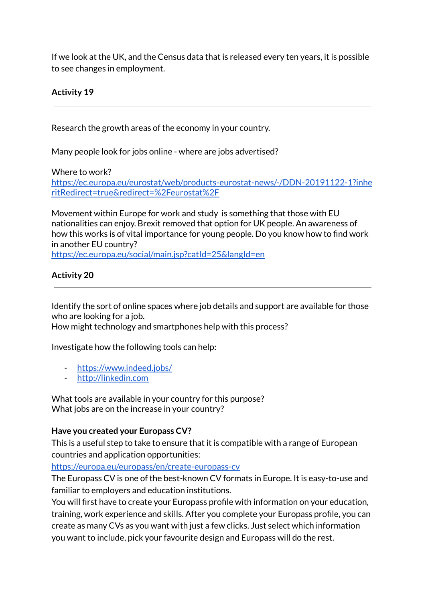If we look at the UK, and the Census data that is released every ten years, it is possible to see changes in employment.

# **Activity 19**

Research the growth areas of the economy in your country.

Many people look for jobs online - where are jobs advertised?

Where to work?

[https://ec.europa.eu/eurostat/web/products-eurostat-news/-/DDN-20191122-1?inhe](https://ec.europa.eu/eurostat/web/products-eurostat-news/-/DDN-20191122-1?inheritRedirect=true&redirect=%2Feurostat%2F) [ritRedirect=true&redirect=%2Feurostat%2F](https://ec.europa.eu/eurostat/web/products-eurostat-news/-/DDN-20191122-1?inheritRedirect=true&redirect=%2Feurostat%2F)

Movement within Europe for work and study is something that those with EU nationalities can enjoy. Brexit removed that option for UK people. An awareness of how this works is of vital importance for young people. Do you know how to find work in another EU country?

<https://ec.europa.eu/social/main.jsp?catId=25&langId=en>

## **Activity 20**

Identify the sort of online spaces where job details and support are available for those who are looking for a job.

How might technology and smartphones help with this process?

Investigate how the following tools can help:

- <https://www.indeed.jobs/>
- <http://linkedin.com>

What tools are available in your country for this purpose? What jobs are on the increase in your country?

### **Have you created your Europass CV?**

This is a useful step to take to ensure that it is compatible with a range of European countries and application opportunities:

<https://europa.eu/europass/en/create-europass-cv>

The Europass CV is one of the best-known CV formats in Europe. It is easy-to-use and familiar to employers and education institutions.

You will first have to create your Europass profile with information on your education, training, work experience and skills. After you complete your Europass profile, you can create as many CVs as you want with just a few clicks. Just select which information you want to include, pick your favourite design and Europass will do the rest.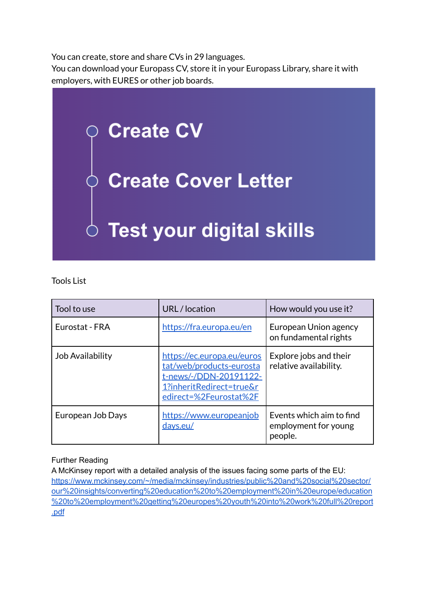You can create, store and share CVs in 29 languages.

You can download your Europass CV, store it in your Europass Library, share it with employers, with EURES or other job boards.



## Tools List

| Tool to use             | URL / location                                                                                                                         | How would you use it?                                       |
|-------------------------|----------------------------------------------------------------------------------------------------------------------------------------|-------------------------------------------------------------|
| Eurostat - FRA          | https://fra.europa.eu/en                                                                                                               | European Union agency<br>on fundamental rights              |
| <b>Job Availability</b> | https://ec.europa.eu/euros<br>tat/web/products-eurosta<br>t-news/-/DDN-20191122-<br>1?inheritRedirect=true&r<br>edirect=%2Feurostat%2F | Explore jobs and their<br>relative availability.            |
| European Job Days       | https://www.europeanjob<br>days.eu/                                                                                                    | Events which aim to find<br>employment for young<br>people. |

### Further Reading

A McKinsey report with a detailed analysis of the issues facing some parts of the EU: [https://www.mckinsey.com/~/media/mckinsey/industries/public%20and%20social%20sector/](https://www.mckinsey.com/~/media/mckinsey/industries/public%20and%20social%20sector/our%20insights/converting%20education%20to%20employment%20in%20europe/education%20to%20employment%20getting%20europes%20youth%20into%20work%20full%20report.pdf) [our%20insights/converting%20education%20to%20employment%20in%20europe/education](https://www.mckinsey.com/~/media/mckinsey/industries/public%20and%20social%20sector/our%20insights/converting%20education%20to%20employment%20in%20europe/education%20to%20employment%20getting%20europes%20youth%20into%20work%20full%20report.pdf) [%20to%20employment%20getting%20europes%20youth%20into%20work%20full%20report](https://www.mckinsey.com/~/media/mckinsey/industries/public%20and%20social%20sector/our%20insights/converting%20education%20to%20employment%20in%20europe/education%20to%20employment%20getting%20europes%20youth%20into%20work%20full%20report.pdf) [.pdf](https://www.mckinsey.com/~/media/mckinsey/industries/public%20and%20social%20sector/our%20insights/converting%20education%20to%20employment%20in%20europe/education%20to%20employment%20getting%20europes%20youth%20into%20work%20full%20report.pdf)